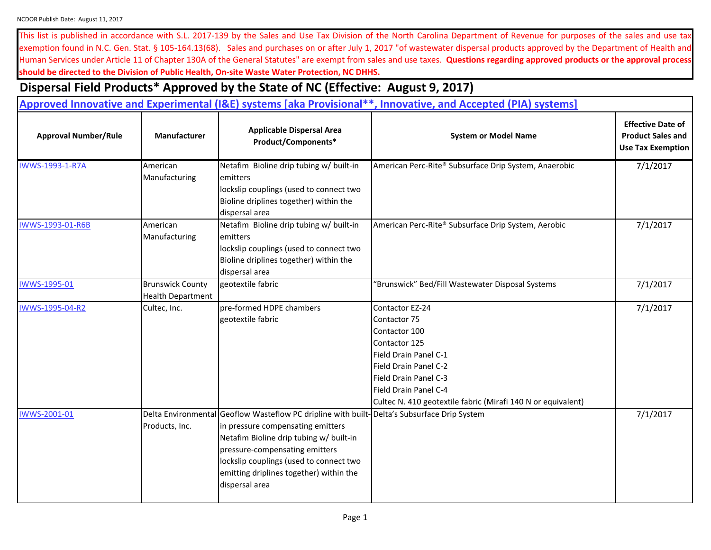This list is published in accordance with S.L. 2017-139 by the Sales and Use Tax Division of the North Carolina Department of Revenue for purposes of the sales and use tax exemption found in N.C. Gen. Stat. § 105-164.13(68). Sales and purchases on or after July 1, 2017 "of wastewater dispersal products approved by the Department of Health and Human Services under Article 11 of Chapter 130A of the General Statutes" are exempt from sales and use taxes. Questions regarding approved products or the approval process **should be directed to the Division of Public Health, On-site Waste Water Protection, NC DHHS.**

## **Dispersal Field Products\* Approved by the State of NC (Effective: August 9, 2017)**

| Approved Innovative and Experimental (I&E) systems [aka Provisional**, Innovative, and Accepted (PIA) systems] |                                                     |                                                                                                                                                                                                                                                                                                   |                                                                                                                                                                                                                                                   |                                                                                  |
|----------------------------------------------------------------------------------------------------------------|-----------------------------------------------------|---------------------------------------------------------------------------------------------------------------------------------------------------------------------------------------------------------------------------------------------------------------------------------------------------|---------------------------------------------------------------------------------------------------------------------------------------------------------------------------------------------------------------------------------------------------|----------------------------------------------------------------------------------|
| <b>Approval Number/Rule</b>                                                                                    | Manufacturer                                        | <b>Applicable Dispersal Area</b><br>Product/Components*                                                                                                                                                                                                                                           | <b>System or Model Name</b>                                                                                                                                                                                                                       | <b>Effective Date of</b><br><b>Product Sales and</b><br><b>Use Tax Exemption</b> |
| <b>IWWS-1993-1-R7A</b>                                                                                         | American<br>Manufacturing                           | Netafim Bioline drip tubing w/ built-in<br>emitters<br>lockslip couplings (used to connect two<br>Bioline driplines together) within the<br>dispersal area                                                                                                                                        | American Perc-Rite® Subsurface Drip System, Anaerobic                                                                                                                                                                                             | 7/1/2017                                                                         |
| IWWS-1993-01-R6B                                                                                               | American<br>Manufacturing                           | Netafim Bioline drip tubing w/ built-in<br>emitters<br>lockslip couplings (used to connect two<br>Bioline driplines together) within the<br>dispersal area                                                                                                                                        | American Perc-Rite® Subsurface Drip System, Aerobic                                                                                                                                                                                               | 7/1/2017                                                                         |
| IWWS-1995-01                                                                                                   | <b>Brunswick County</b><br><b>Health Department</b> | geotextile fabric                                                                                                                                                                                                                                                                                 | "Brunswick" Bed/Fill Wastewater Disposal Systems                                                                                                                                                                                                  | 7/1/2017                                                                         |
| IWWS-1995-04-R2                                                                                                | Cultec, Inc.                                        | pre-formed HDPE chambers<br>geotextile fabric                                                                                                                                                                                                                                                     | Contactor EZ-24<br>7/1/2017<br>Contactor 75<br>Contactor 100<br>Contactor 125<br>Field Drain Panel C-1<br>Field Drain Panel C-2<br>Field Drain Panel C-3<br>Field Drain Panel C-4<br>Cultec N. 410 geotextile fabric (Mirafi 140 N or equivalent) |                                                                                  |
| IWWS-2001-01                                                                                                   | Delta Environmental<br>Products, Inc.               | Geoflow Wasteflow PC dripline with built-Delta's Subsurface Drip System<br>in pressure compensating emitters<br>Netafim Bioline drip tubing w/ built-in<br>pressure-compensating emitters<br>lockslip couplings (used to connect two<br>emitting driplines together) within the<br>dispersal area |                                                                                                                                                                                                                                                   | 7/1/2017                                                                         |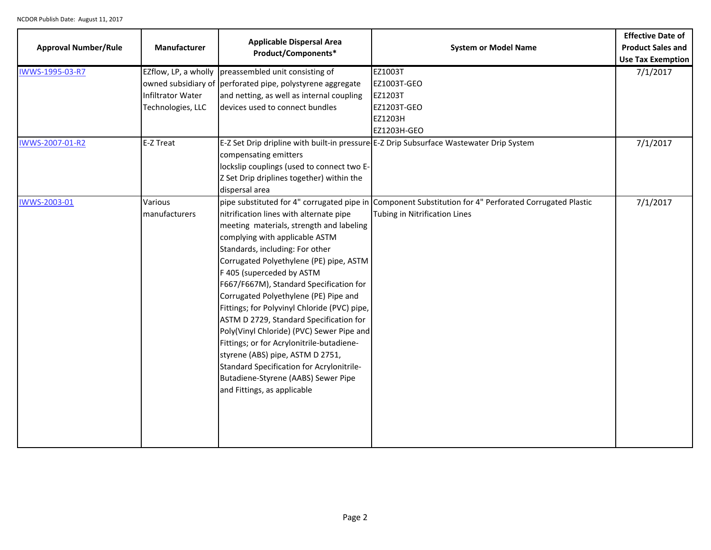| <b>Approval Number/Rule</b> | Manufacturer                                                          | <b>Applicable Dispersal Area</b><br>Product/Components*                                                                                                                                                                                                                                                                                                                                                                                                                                                                                                                                                                                                          | <b>System or Model Name</b>                                                                                                             | <b>Effective Date of</b><br><b>Product Sales and</b><br><b>Use Tax Exemption</b> |
|-----------------------------|-----------------------------------------------------------------------|------------------------------------------------------------------------------------------------------------------------------------------------------------------------------------------------------------------------------------------------------------------------------------------------------------------------------------------------------------------------------------------------------------------------------------------------------------------------------------------------------------------------------------------------------------------------------------------------------------------------------------------------------------------|-----------------------------------------------------------------------------------------------------------------------------------------|----------------------------------------------------------------------------------|
| IWWS-1995-03-R7             | EZflow, LP, a wholly<br><b>Infiltrator Water</b><br>Technologies, LLC | preassembled unit consisting of<br>owned subsidiary of perforated pipe, polystyrene aggregate<br>and netting, as well as internal coupling<br>devices used to connect bundles                                                                                                                                                                                                                                                                                                                                                                                                                                                                                    | EZ1003T<br>EZ1003T-GEO<br>EZ1203T<br>EZ1203T-GEO<br>EZ1203H<br>EZ1203H-GEO                                                              | 7/1/2017                                                                         |
| IWWS-2007-01-R2             | E-Z Treat                                                             | compensating emitters<br>lockslip couplings (used to connect two E-<br>Z Set Drip driplines together) within the<br>dispersal area                                                                                                                                                                                                                                                                                                                                                                                                                                                                                                                               | E-Z Set Drip dripline with built-in pressure E-Z Drip Subsurface Wastewater Drip System                                                 | 7/1/2017                                                                         |
| IWWS-2003-01                | Various<br>manufacturers                                              | nitrification lines with alternate pipe<br>meeting materials, strength and labeling<br>complying with applicable ASTM<br>Standards, including: For other<br>Corrugated Polyethylene (PE) pipe, ASTM<br>F 405 (superceded by ASTM<br>F667/F667M), Standard Specification for<br>Corrugated Polyethylene (PE) Pipe and<br>Fittings; for Polyvinyl Chloride (PVC) pipe,<br>ASTM D 2729, Standard Specification for<br>Poly(Vinyl Chloride) (PVC) Sewer Pipe and<br>Fittings; or for Acrylonitrile-butadiene-<br>styrene (ABS) pipe, ASTM D 2751,<br>Standard Specification for Acrylonitrile-<br>Butadiene-Styrene (AABS) Sewer Pipe<br>and Fittings, as applicable | pipe substituted for 4" corrugated pipe in Component Substitution for 4" Perforated Corrugated Plastic<br>Tubing in Nitrification Lines | 7/1/2017                                                                         |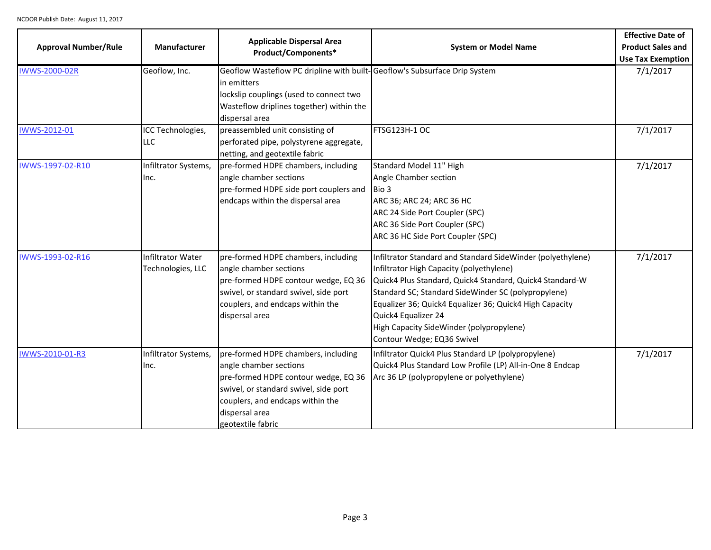| <b>Approval Number/Rule</b> | Manufacturer                                  | <b>Applicable Dispersal Area</b><br>Product/Components*                                                                                                                                                                   | <b>System or Model Name</b>                                                                                                                                                                                                                                                                                                                                                            | <b>Effective Date of</b><br><b>Product Sales and</b><br><b>Use Tax Exemption</b> |
|-----------------------------|-----------------------------------------------|---------------------------------------------------------------------------------------------------------------------------------------------------------------------------------------------------------------------------|----------------------------------------------------------------------------------------------------------------------------------------------------------------------------------------------------------------------------------------------------------------------------------------------------------------------------------------------------------------------------------------|----------------------------------------------------------------------------------|
| IWWS-2000-02R               | Geoflow, Inc.                                 | Geoflow Wasteflow PC dripline with built-Geoflow's Subsurface Drip System<br>in emitters<br>lockslip couplings (used to connect two<br>Wasteflow driplines together) within the<br>dispersal area                         |                                                                                                                                                                                                                                                                                                                                                                                        | 7/1/2017                                                                         |
| IWWS-2012-01                | ICC Technologies,<br>LLC                      | preassembled unit consisting of<br>perforated pipe, polystyrene aggregate,<br>netting, and geotextile fabric                                                                                                              | FTSG123H-1 OC                                                                                                                                                                                                                                                                                                                                                                          | 7/1/2017                                                                         |
| IWWS-1997-02-R10            | Infiltrator Systems,<br>Inc.                  | pre-formed HDPE chambers, including<br>angle chamber sections<br>pre-formed HDPE side port couplers and<br>endcaps within the dispersal area                                                                              | Standard Model 11" High<br>Angle Chamber section<br>Bio 3<br>ARC 36; ARC 24; ARC 36 HC<br>ARC 24 Side Port Coupler (SPC)<br>ARC 36 Side Port Coupler (SPC)<br>ARC 36 HC Side Port Coupler (SPC)                                                                                                                                                                                        | 7/1/2017                                                                         |
| IWWS-1993-02-R16            | <b>Infiltrator Water</b><br>Technologies, LLC | pre-formed HDPE chambers, including<br>angle chamber sections<br>pre-formed HDPE contour wedge, EQ 36<br>swivel, or standard swivel, side port<br>couplers, and endcaps within the<br>dispersal area                      | Infiltrator Standard and Standard SideWinder (polyethylene)<br>Infiltrator High Capacity (polyethylene)<br>Quick4 Plus Standard, Quick4 Standard, Quick4 Standard-W<br>Standard SC; Standard SideWinder SC (polypropylene)<br>Equalizer 36; Quick4 Equalizer 36; Quick4 High Capacity<br>Quick4 Equalizer 24<br>High Capacity SideWinder (polypropylene)<br>Contour Wedge; EQ36 Swivel | 7/1/2017                                                                         |
| IWWS-2010-01-R3             | Infiltrator Systems,<br>Inc.                  | pre-formed HDPE chambers, including<br>angle chamber sections<br>pre-formed HDPE contour wedge, EQ 36<br>swivel, or standard swivel, side port<br>couplers, and endcaps within the<br>dispersal area<br>geotextile fabric | Infiltrator Quick4 Plus Standard LP (polypropylene)<br>Quick4 Plus Standard Low Profile (LP) All-in-One 8 Endcap<br>Arc 36 LP (polypropylene or polyethylene)                                                                                                                                                                                                                          | 7/1/2017                                                                         |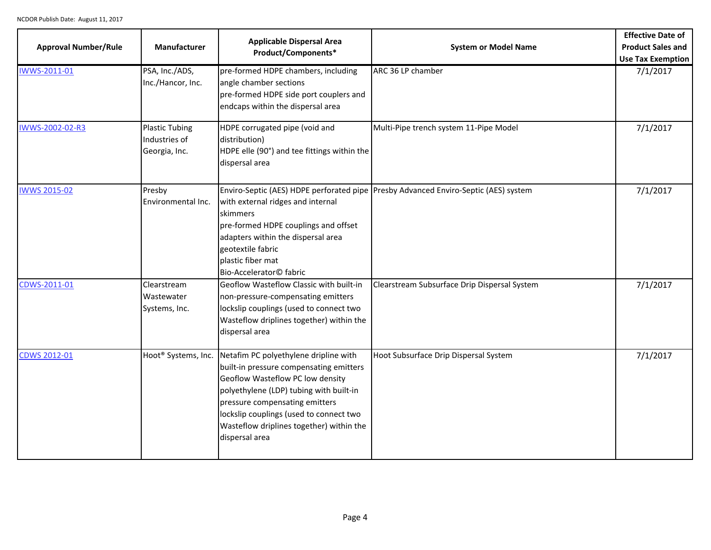| <b>Approval Number/Rule</b> | Manufacturer                                            | <b>Applicable Dispersal Area</b><br>Product/Components*                                                                                                                                                                                                                                                                                    | <b>System or Model Name</b>                                                         | <b>Effective Date of</b><br><b>Product Sales and</b><br>Use Tax Exemption |
|-----------------------------|---------------------------------------------------------|--------------------------------------------------------------------------------------------------------------------------------------------------------------------------------------------------------------------------------------------------------------------------------------------------------------------------------------------|-------------------------------------------------------------------------------------|---------------------------------------------------------------------------|
| IWWS-2011-01                | PSA, Inc./ADS,<br>Inc./Hancor, Inc.                     | pre-formed HDPE chambers, including<br>angle chamber sections<br>pre-formed HDPE side port couplers and<br>endcaps within the dispersal area                                                                                                                                                                                               | ARC 36 LP chamber                                                                   | 7/1/2017                                                                  |
| IWWS-2002-02-R3             | <b>Plastic Tubing</b><br>Industries of<br>Georgia, Inc. | HDPE corrugated pipe (void and<br>distribution)<br>HDPE elle (90°) and tee fittings within the<br>dispersal area                                                                                                                                                                                                                           | Multi-Pipe trench system 11-Pipe Model                                              | 7/1/2017                                                                  |
| <b>IWWS 2015-02</b>         | Presby<br>Environmental Inc.                            | with external ridges and internal<br>skimmers<br>pre-formed HDPE couplings and offset<br>adapters within the dispersal area<br>geotextile fabric<br>plastic fiber mat<br>Bio-Accelerator© fabric                                                                                                                                           | Enviro-Septic (AES) HDPE perforated pipe Presby Advanced Enviro-Septic (AES) system | 7/1/2017                                                                  |
| CDWS-2011-01                | Clearstream<br>Wastewater<br>Systems, Inc.              | Geoflow Wasteflow Classic with built-in<br>non-pressure-compensating emitters<br>lockslip couplings (used to connect two<br>Wasteflow driplines together) within the<br>dispersal area                                                                                                                                                     | Clearstream Subsurface Drip Dispersal System                                        | 7/1/2017                                                                  |
| <b>CDWS 2012-01</b>         |                                                         | Hoot <sup>®</sup> Systems, Inc. Netafim PC polyethylene dripline with<br>built-in pressure compensating emitters<br>Geoflow Wasteflow PC low density<br>polyethylene (LDP) tubing with built-in<br>pressure compensating emitters<br>lockslip couplings (used to connect two<br>Wasteflow driplines together) within the<br>dispersal area | Hoot Subsurface Drip Dispersal System                                               | 7/1/2017                                                                  |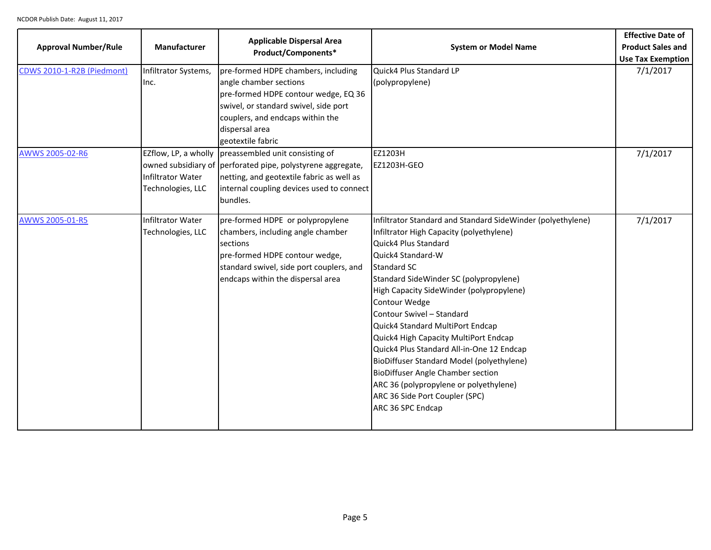| <b>Approval Number/Rule</b> | Manufacturer                                  | <b>Applicable Dispersal Area</b><br>Product/Components*                                                                                                                                                                       | <b>System or Model Name</b>                                                                                                                                                                                                                                                                                                                                                                                                                                                                                                                                                                                                        | <b>Effective Date of</b><br><b>Product Sales and</b><br><b>Use Tax Exemption</b> |
|-----------------------------|-----------------------------------------------|-------------------------------------------------------------------------------------------------------------------------------------------------------------------------------------------------------------------------------|------------------------------------------------------------------------------------------------------------------------------------------------------------------------------------------------------------------------------------------------------------------------------------------------------------------------------------------------------------------------------------------------------------------------------------------------------------------------------------------------------------------------------------------------------------------------------------------------------------------------------------|----------------------------------------------------------------------------------|
| CDWS 2010-1-R2B (Piedmont)  | Infiltrator Systems,<br>Inc.                  | pre-formed HDPE chambers, including<br>angle chamber sections<br>pre-formed HDPE contour wedge, EQ 36<br>swivel, or standard swivel, side port<br>couplers, and endcaps within the<br>dispersal area<br>geotextile fabric     | Quick4 Plus Standard LP<br>(polypropylene)                                                                                                                                                                                                                                                                                                                                                                                                                                                                                                                                                                                         | 7/1/2017                                                                         |
| AWWS 2005-02-R6             | <b>Infiltrator Water</b><br>Technologies, LLC | EZflow, LP, a wholly $ $ preassembled unit consisting of<br>owned subsidiary of perforated pipe, polystyrene aggregate,<br>netting, and geotextile fabric as well as<br>internal coupling devices used to connect<br>bundles. | EZ1203H<br>EZ1203H-GEO                                                                                                                                                                                                                                                                                                                                                                                                                                                                                                                                                                                                             | 7/1/2017                                                                         |
| AWWS 2005-01-R5             | <b>Infiltrator Water</b><br>Technologies, LLC | pre-formed HDPE or polypropylene<br>chambers, including angle chamber<br>sections<br>pre-formed HDPE contour wedge,<br>standard swivel, side port couplers, and<br>endcaps within the dispersal area                          | Infiltrator Standard and Standard SideWinder (polyethylene)<br>Infiltrator High Capacity (polyethylene)<br>Quick4 Plus Standard<br>Quick4 Standard-W<br><b>Standard SC</b><br>Standard SideWinder SC (polypropylene)<br>High Capacity SideWinder (polypropylene)<br>Contour Wedge<br>Contour Swivel - Standard<br>Quick4 Standard MultiPort Endcap<br>Quick4 High Capacity MultiPort Endcap<br>Quick4 Plus Standard All-in-One 12 Endcap<br>BioDiffuser Standard Model (polyethylene)<br><b>BioDiffuser Angle Chamber section</b><br>ARC 36 (polypropylene or polyethylene)<br>ARC 36 Side Port Coupler (SPC)<br>ARC 36 SPC Endcap | 7/1/2017                                                                         |